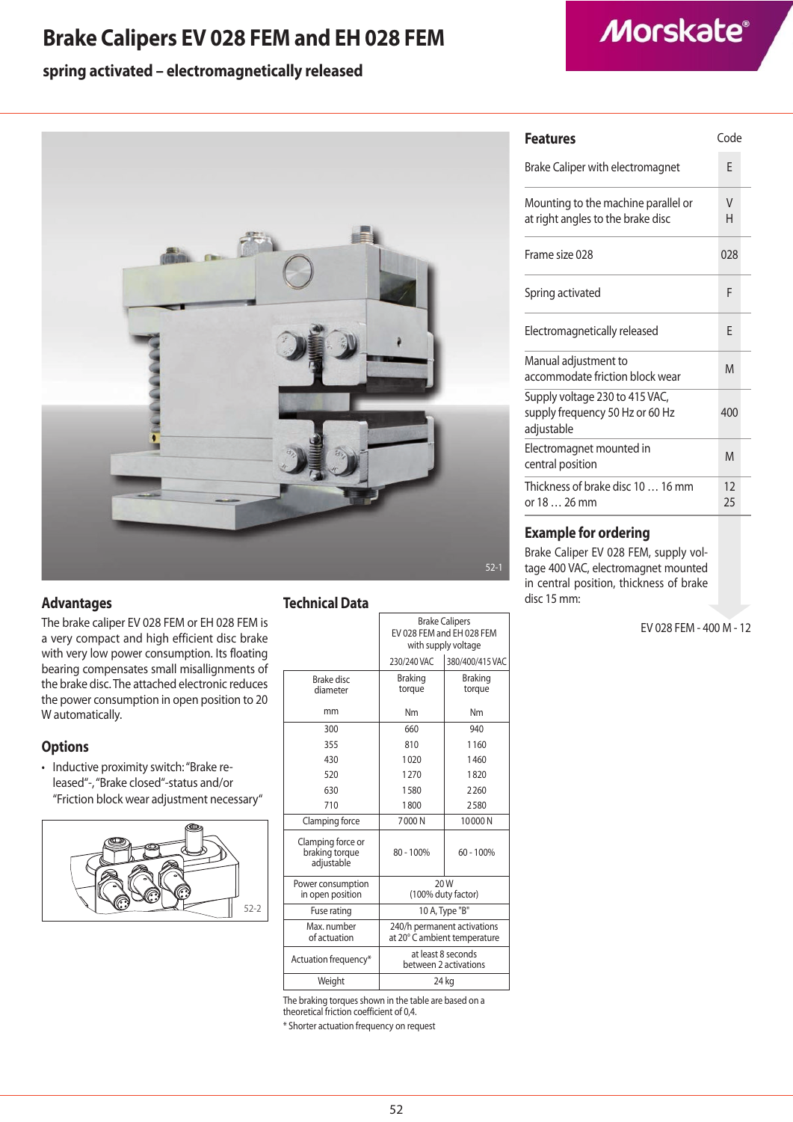# **Brake Calipers EV 028 FEM and EH 028 FEM**

## **spring activated – electromagnetically released**



### **Advantages**

The brake caliper EV 028 FEM or EH 028 FEM is a very compact and high efficient disc brake with very low power consumption. Its floating bearing compensates small misallignments of the brake disc. The attached electronic reduces the power consumption in open position to 20 W automatically.

### **Options**

• Inductive proximity switch: "Brake released"-, "Brake closed"-status and/or "Friction block wear adjustment necessary"



### **Technical Data**

|                                                   | <b>Brake Calipers</b><br>EV 028 FEM and EH 028 FEM<br>with supply voltage |                          |
|---------------------------------------------------|---------------------------------------------------------------------------|--------------------------|
|                                                   | 230/240 VAC                                                               | 380/400/415 VAC          |
| <b>Brake disc</b><br>diameter                     | <b>Braking</b><br>torque                                                  | <b>Braking</b><br>torque |
| mm                                                | Nm                                                                        | Nm                       |
| 300                                               | 660                                                                       | 940                      |
| 355                                               | 810                                                                       | 1160                     |
| 430                                               | 1020                                                                      | 1460                     |
| 520                                               | 1270                                                                      | 1820                     |
| 630                                               | 1580                                                                      | 2260                     |
| 710                                               | 1800                                                                      | 2580                     |
| Clamping force                                    | 7000N                                                                     | 10000N                   |
| Clamping force or<br>braking torque<br>adjustable | 80 - 100%                                                                 | $60 - 100%$              |
| Power consumption<br>in open position             | 20 W<br>(100% duty factor)                                                |                          |
| Fuse rating                                       | 10 A, Type "B"                                                            |                          |
| Max. number<br>of actuation                       | 240/h permanent activations<br>at 20° C ambient temperature               |                          |
| Actuation frequency*                              | at least 8 seconds<br>between 2 activations                               |                          |
| Weight                                            | 24 kg                                                                     |                          |
| $\cdots$                                          | <b>STATE STATE OF STATE</b>                                               |                          |

The braking torques shown in the table are based on a theoretical friction coefficient of 0,4.

\* Shorter actuation frequency on request

| <b>Features</b>                                                                 | Code     |  |
|---------------------------------------------------------------------------------|----------|--|
| Brake Caliper with electromagnet                                                | F        |  |
| Mounting to the machine parallel or<br>at right angles to the brake disc        | V<br>н   |  |
| Frame size 028                                                                  | 028      |  |
| Spring activated                                                                | F        |  |
| Electromagnetically released                                                    | F        |  |
| Manual adjustment to<br>accommodate friction block wear                         | M        |  |
| Supply voltage 230 to 415 VAC,<br>supply frequency 50 Hz or 60 Hz<br>adjustable | 400      |  |
| Electromagnet mounted in<br>central position                                    | M        |  |
| Thickness of brake disc 10  16 mm<br>or 18  26 mm                               | 12<br>25 |  |
|                                                                                 |          |  |

### **Example for ordering**

Brake Caliper EV 028 FEM, supply voltage 400 VAC, electromagnet mounted in central position, thickness of brake disc 15 mm:

EV 028 FEM - 400 M - 12

# **Morskate®**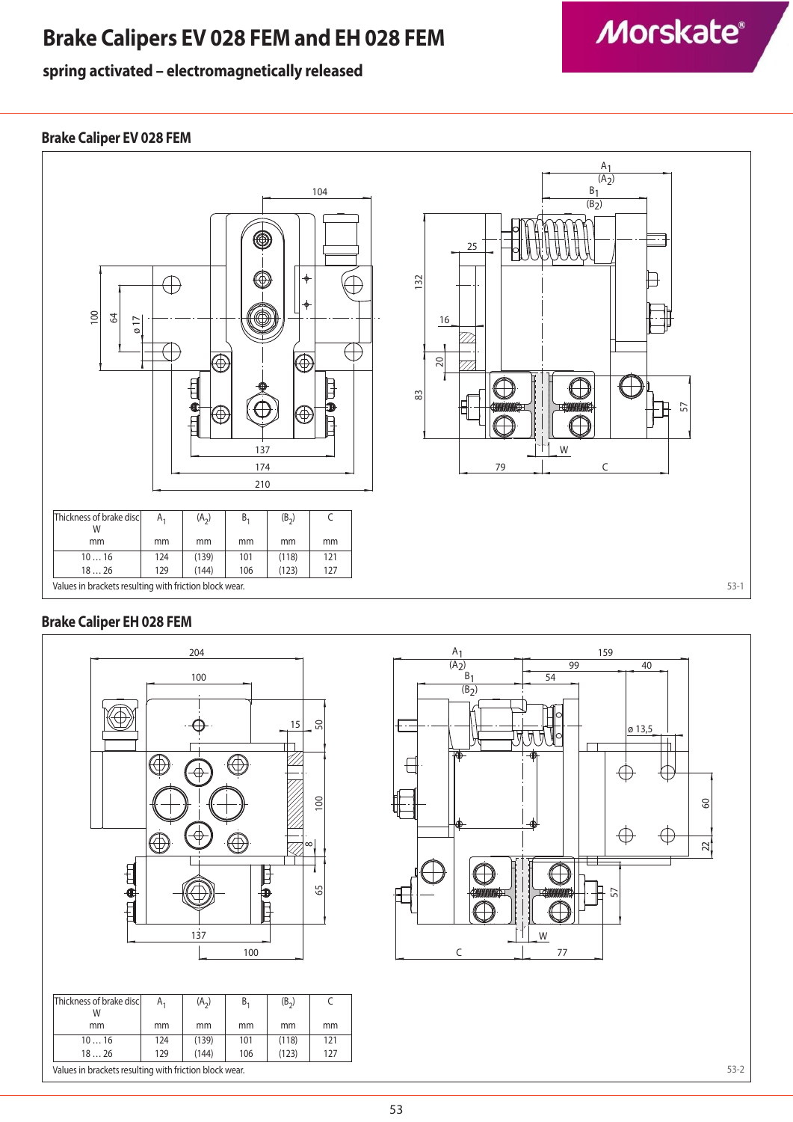# **Brake Calipers EV 028 FEM and EH 028 FEM**

# **spring activated – electromagnetically released**

# **Morskate®**

## **Brake Caliper EV 028 FEM**



## **Brake Caliper EH 028 FEM**